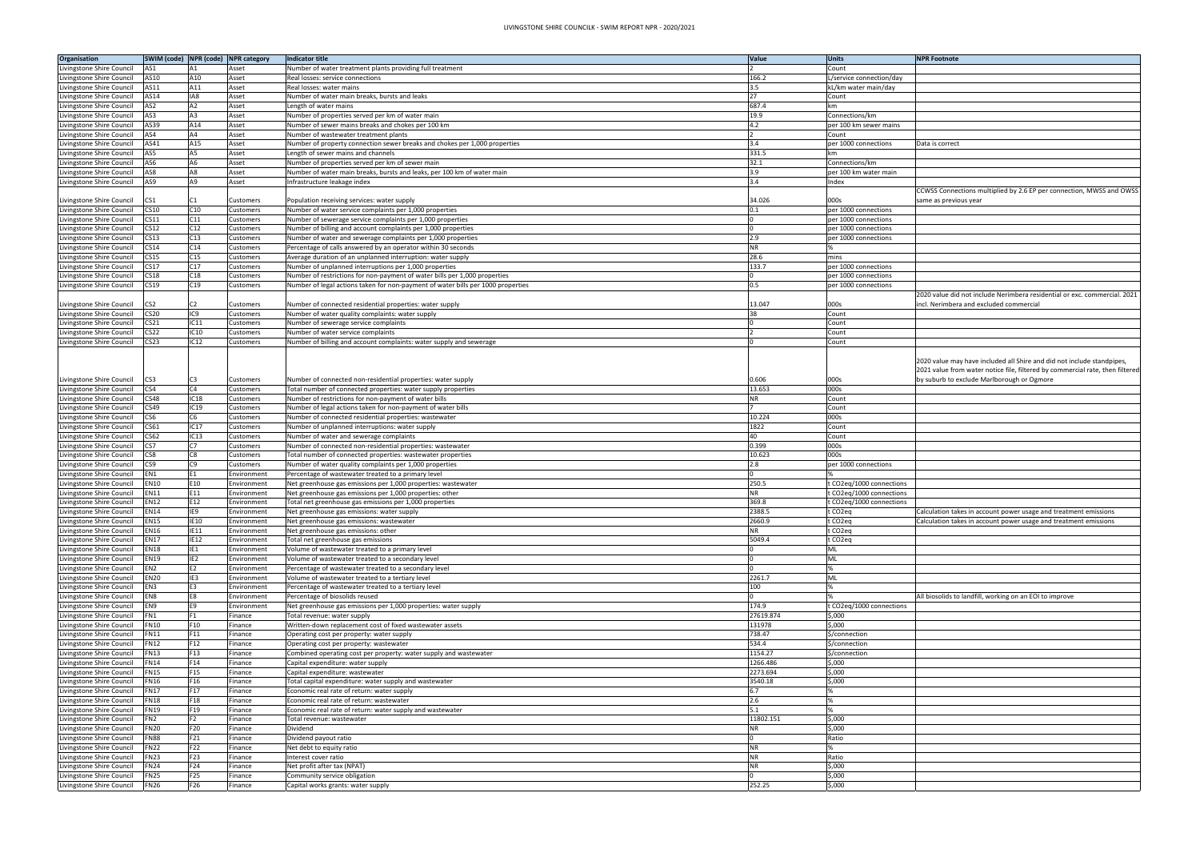| <b>NPR Footnote</b>                                                           |
|-------------------------------------------------------------------------------|
|                                                                               |
|                                                                               |
|                                                                               |
|                                                                               |
|                                                                               |
|                                                                               |
|                                                                               |
| Data is correct                                                               |
|                                                                               |
|                                                                               |
|                                                                               |
|                                                                               |
| CCWSS Connections multiplied by 2.6 EP per connection, MWSS and OWSS          |
| same as previous year                                                         |
|                                                                               |
|                                                                               |
|                                                                               |
|                                                                               |
|                                                                               |
|                                                                               |
|                                                                               |
| 2020 value did not include Nerimbera residential or exc. commercial. 2021     |
| incl. Nerimbera and excluded commercial                                       |
|                                                                               |
|                                                                               |
|                                                                               |
|                                                                               |
|                                                                               |
| 2020 value may have included all Shire and did not include standpipes,        |
| 2021 value from water notice file, filtered by commercial rate, then filtered |
| by suburb to exclude Marlborough or Ogmore                                    |
|                                                                               |
|                                                                               |
|                                                                               |
|                                                                               |
|                                                                               |
|                                                                               |
|                                                                               |
|                                                                               |
|                                                                               |
|                                                                               |
|                                                                               |
| Calculation takes in account power usage and treatment emissions              |
| Calculation takes in account power usage and treatment emissions              |
|                                                                               |
|                                                                               |
|                                                                               |
|                                                                               |
|                                                                               |
|                                                                               |
| All biosolids to landfill, working on an EOI to improve                       |
|                                                                               |
|                                                                               |
|                                                                               |
|                                                                               |
|                                                                               |
|                                                                               |
|                                                                               |
|                                                                               |
|                                                                               |
|                                                                               |
|                                                                               |
|                                                                               |
|                                                                               |
|                                                                               |
|                                                                               |
|                                                                               |
|                                                                               |
|                                                                               |

| Organisation              |                  |                 | SWIM (code) NPR (code) NPR category | <b>Indicator title</b>                                                           | Value     | <b>Units</b>             | <b>NPR Footnote</b>                                                  |
|---------------------------|------------------|-----------------|-------------------------------------|----------------------------------------------------------------------------------|-----------|--------------------------|----------------------------------------------------------------------|
| Livingstone Shire Council | AS1              | A1              | Asset                               | Number of water treatment plants providing full treatment                        |           | Count                    |                                                                      |
| Livingstone Shire Council | AS10             | A10             | Asset                               | Real losses: service connections                                                 | 166.2     | /service connection/day  |                                                                      |
| Livingstone Shire Council | AS11             | A11             | Asset                               | Real losses: water mains                                                         | 3.5       | kL/km water main/day     |                                                                      |
| Livingstone Shire Council | AS14             | IA8             | Asset                               | Number of water main breaks, bursts and leaks                                    | 27        | Count                    |                                                                      |
| Livingstone Shire Council | AS <sub>2</sub>  | A <sub>2</sub>  | Asset                               | Length of water mains                                                            | 687.4     |                          |                                                                      |
| Livingstone Shire Council | AS3              | A3              | Asset                               | Number of properties served per km of water main                                 | 19.9      | Connections/km           |                                                                      |
| Livingstone Shire Council | AS39             | A14             | Asset                               | Number of sewer mains breaks and chokes per 100 km                               | 4.2       | per 100 km sewer mains   |                                                                      |
| Livingstone Shire Council | AS4              | A4              | Asset                               | Number of wastewater treatment plants                                            |           | Count                    |                                                                      |
| Livingstone Shire Council | AS41             | A15             | Asset                               | Number of property connection sewer breaks and chokes per 1,000 properties       | 3.4       | per 1000 connections     | Data is correct                                                      |
| Livingstone Shire Council | AS5              | A5              | Asset                               | Length of sewer mains and channels                                               | 331.5     |                          |                                                                      |
| Livingstone Shire Council | AS6              | A6              | Asset                               | Number of properties served per km of sewer main                                 | 32.1      | Connections/km           |                                                                      |
| Livingstone Shire Council | AS8              | A8              | Asset                               | Number of water main breaks, bursts and leaks, per 100 km of water main          | 3.9       | per 100 km water main    |                                                                      |
| Livingstone Shire Council | AS9              | A9              | Asset                               | Infrastructure leakage index                                                     | 3.4       | ndex                     |                                                                      |
|                           |                  |                 |                                     |                                                                                  |           |                          | CCWSS Connections multiplied by 2.6 EP per connection, MWSS ar       |
| Livingstone Shire Council | CS <sub>1</sub>  | C1              | Customers                           | Population receiving services: water supply                                      | 34.026    | 000s                     | same as previous year                                                |
| Livingstone Shire Council | CS10             | C10             | Customers                           | Number of water service complaints per 1,000 properties                          | 0.1       | per 1000 connections     |                                                                      |
| Livingstone Shire Council | <b>CS11</b>      | C11             | Customers                           | Number of sewerage service complaints per 1,000 properties                       |           | per 1000 connections     |                                                                      |
| Livingstone Shire Council | <b>CS12</b>      | C12             | Customers                           | Number of billing and account complaints per 1,000 properties                    |           | per 1000 connections     |                                                                      |
| Livingstone Shire Council | <b>CS13</b>      | C13             | Customers                           | Number of water and sewerage complaints per 1,000 properties                     | 2.9       | per 1000 connections     |                                                                      |
| Livingstone Shire Council | CS <sub>14</sub> | C14             | Customers                           | Percentage of calls answered by an operator within 30 seconds                    | ΝR        |                          |                                                                      |
| Livingstone Shire Council | <b>CS15</b>      | C15             | Customers                           | Average duration of an unplanned interruption: water supply                      | 28.6      | mins                     |                                                                      |
| Livingstone Shire Council | <b>CS17</b>      | C17             | Customers                           | Number of unplanned interruptions per 1,000 properties                           | 133.7     | per 1000 connections     |                                                                      |
| Livingstone Shire Council | <b>CS18</b>      | C18             | Customers                           | Number of restrictions for non-payment of water bills per 1,000 properties       |           | per 1000 connections     |                                                                      |
| Livingstone Shire Council | CS19             | C19             | Customers                           | Number of legal actions taken for non-payment of water bills per 1000 properties | 0.5       | per 1000 connections     |                                                                      |
|                           |                  |                 |                                     |                                                                                  |           |                          | 2020 value did not include Nerimbera residential or exc. commerci    |
| Livingstone Shire Council | CS <sub>2</sub>  | C2              | Customers                           | Number of connected residential properties: water supply                         | 13.047    | 000s                     | incl. Nerimbera and excluded commercial                              |
| Livingstone Shire Council | <b>CS20</b>      | IC9             | Customers                           | Number of water quality complaints: water supply                                 |           | Count                    |                                                                      |
| Livingstone Shire Council | CS <sub>21</sub> | IC11            | Customers                           | Number of sewerage service complaints                                            |           | Count                    |                                                                      |
| Livingstone Shire Council | CS <sub>22</sub> | IC10            | Customers                           | Number of water service complaints                                               |           | Count                    |                                                                      |
| Livingstone Shire Council | CS <sub>23</sub> | IC12            | Customers                           | Number of billing and account complaints: water supply and sewerage              |           | Count                    |                                                                      |
|                           |                  |                 |                                     |                                                                                  |           |                          |                                                                      |
|                           |                  |                 |                                     |                                                                                  |           |                          | 2020 value may have included all Shire and did not include standpi   |
|                           |                  |                 |                                     |                                                                                  |           |                          | 2021 value from water notice file, filtered by commercial rate, ther |
| Livingstone Shire Council | CS <sub>3</sub>  | C <sub>3</sub>  | <b>Customers</b>                    | Number of connected non-residential properties: water supply                     | 0.606     | 000s                     | by suburb to exclude Marlborough or Ogmore                           |
| Livingstone Shire Council | CS4              | C4              | Customers                           | Total number of connected properties: water supply properties                    | 13.653    | 000s                     |                                                                      |
| Livingstone Shire Council | <b>CS48</b>      | IC18            | Customers                           | Number of restrictions for non-payment of water bills                            | ΝR        | Count                    |                                                                      |
| Livingstone Shire Council | CS49             | IC19            | Customers                           | Number of legal actions taken for non-payment of water bills                     |           | Count                    |                                                                      |
| Livingstone Shire Council | CS <sub>6</sub>  | C6              | Customers                           | Number of connected residential properties: wastewater                           | 10.224    | 000s                     |                                                                      |
| Livingstone Shire Council | CS61             | IC17            | Customers                           | Number of unplanned interruptions: water supply                                  | 1822      | Count                    |                                                                      |
| Livingstone Shire Council | CS62             | IC13            | Customers                           | Number of water and sewerage complaints                                          | 40        | Count                    |                                                                      |
| Livingstone Shire Council | CS7              | C <sub>7</sub>  | Customers                           | Number of connected non-residential properties: wastewater                       | 0.399     | 000s                     |                                                                      |
| Livingstone Shire Council | CS8              | C8              | Customers                           | Fotal number of connected properties: wastewater properties                      | 10.623    | 000s                     |                                                                      |
| Livingstone Shire Council | CS <sub>9</sub>  | C9              | Customers                           | Number of water quality complaints per 1,000 properties                          | 2.8       | er 1000 connections      |                                                                      |
| Livingstone Shire Council | EN1              | E1              | Environment                         | Percentage of wastewater treated to a primary level                              |           |                          |                                                                      |
| Livingstone Shire Council | <b>EN10</b>      | E10             | Environment                         | Net greenhouse gas emissions per 1,000 properties: wastewater                    | 250.5     | CO2eq/1000 connections   |                                                                      |
| Livingstone Shire Council | <b>EN11</b>      | E11             | Environment                         | Net greenhouse gas emissions per 1,000 properties: other                         | NR.       | CO2eg/1000 connections   |                                                                      |
| Livingstone Shire Council | <b>EN12</b>      | E12             | Environment                         | Total net greenhouse gas emissions per 1,000 properties                          | 369.8     | t CO2eg/1000 connections |                                                                      |
| Livingstone Shire Council | <b>EN14</b>      | IE9             | Environment                         | Net greenhouse gas emissions: water supply                                       | 2388.5    | t CO2eq                  | Calculation takes in account power usage and treatment emissions     |
| Livingstone Shire Council | <b>EN15</b>      | IE10            | Environment                         | Net greenhouse gas emissions: wastewater                                         | 2660.9    | CO <sub>2</sub> eq       | Calculation takes in account power usage and treatment emissions     |
| Livingstone Shire Council | <b>EN16</b>      | IE11            | Environment                         | Net greenhouse gas emissions: other                                              | NR.       | CO <sub>2</sub> eq       |                                                                      |
| Livingstone Shire Council | <b>EN17</b>      | IE12            | Environment                         | Total net greenhouse gas emissions                                               | 5049.4    | CO <sub>2</sub> eq       |                                                                      |
| Livingstone Shire Council | <b>EN18</b>      | IE1             | Environment                         | /olume of wastewater treated to a primary level                                  |           |                          |                                                                      |
| Livingstone Shire Council | <b>EN19</b>      | IE <sub>2</sub> | Environment                         | Volume of wastewater treated to a secondary level                                |           | ML                       |                                                                      |
| Livingstone Shire Council | EN <sub>2</sub>  | E2              | Environment                         | Percentage of wastewater treated to a secondary level                            |           |                          |                                                                      |
| Livingstone Shire Council | <b>EN20</b>      | IE3             | Environment                         | Volume of wastewater treated to a tertiary level                                 | 2261.7    | <b>ML</b>                |                                                                      |
| Livingstone Shire Council | EN3              | E3              | Environment                         | Percentage of wastewater treated to a tertiary level                             | 100       |                          |                                                                      |
| Livingstone Shire Council | EN <sub>8</sub>  | E8              | Environment                         | Percentage of biosolids reused                                                   |           |                          | All biosolids to landfill, working on an EOI to improve              |
| Livingstone Shire Council | EN <sub>9</sub>  | E9              | Environment                         | Net greenhouse gas emissions per 1,000 properties: water supply                  | 174.9     | CO2eg/1000 connections   |                                                                      |
| Livingstone Shire Council | FN1              |                 | Finance                             | Total revenue: water supply                                                      | 27619.874 | \$,000                   |                                                                      |
| Livingstone Shire Council | <b>FN10</b>      | F10             | Finance                             | Written-down replacement cost of fixed wastewater assets                         | 131978    | 5,000                    |                                                                      |
| Livingstone Shire Council | <b>FN11</b>      | F11             | -inance                             | Operating cost per property: water supply                                        | 738.47    | \$/connection            |                                                                      |
| Livingstone Shire Council | <b>FN12</b>      | F12             | Finance                             | Operating cost per property: wastewater                                          | 534.4     | \$/connection            |                                                                      |
| Livingstone Shire Council | <b>FN13</b>      | F13             | Finance                             | Combined operating cost per property: water supply and wastewater                | 1154.27   | \$/connection            |                                                                      |
| Livingstone Shire Council | <b>FN14</b>      | F14             | Finance                             | Capital expenditure: water supply                                                | 1266.486  | \$,000                   |                                                                      |
| Livingstone Shire Council | <b>FN15</b>      | F15             | Finance                             | Capital expenditure: wastewater                                                  | 2273.694  | \$,000                   |                                                                      |
| Livingstone Shire Council | <b>FN16</b>      | F16             | Finance                             | Total capital expenditure: water supply and wastewater                           | 3540.18   | \$,000                   |                                                                      |
| Livingstone Shire Council | <b>FN17</b>      | F17             | Finance                             | Economic real rate of return: water supply                                       | 6.7       |                          |                                                                      |
| Livingstone Shire Council | <b>FN18</b>      | F18             | inance                              | Economic real rate of return: wastewater                                         | 2.6       |                          |                                                                      |
| Livingstone Shire Council | <b>FN19</b>      | F19             | Finance                             | Economic real rate of return: water supply and wastewater                        | 5.1       |                          |                                                                      |
| Livingstone Shire Council | FN <sub>2</sub>  | F <sub>2</sub>  | -inance                             | Fotal revenue: wastewater                                                        | 11802.151 | \$,000                   |                                                                      |
| Livingstone Shire Council | <b>FN20</b>      | F20             | Finance                             | Dividend                                                                         | NR.       | \$,000                   |                                                                      |
| Livingstone Shire Council | FN88             | F21             | Finance                             | Dividend payout ratio                                                            |           | Ratio                    |                                                                      |
| Livingstone Shire Council | <b>FN22</b>      | F22             | Finance                             | Net debt to equity ratio                                                         | <b>NR</b> |                          |                                                                      |
| Livingstone Shire Council | <b>FN23</b>      | F23             | Finance                             | Interest cover ratio                                                             | <b>NR</b> | Ratio                    |                                                                      |
| Livingstone Shire Council | <b>FN24</b>      | F24             | Finance                             | Net profit after tax (NPAT)                                                      | NR.       | 5,000                    |                                                                      |
| Livingstone Shire Council | <b>FN25</b>      | F25             | Finance                             | Community service obligation                                                     |           | \$,000                   |                                                                      |
| Livingstone Shire Council | <b>FN26</b>      | F26             | inance                              | Capital works grants: water supply                                               | 252.25    | 5,000                    |                                                                      |
|                           |                  |                 |                                     |                                                                                  |           |                          |                                                                      |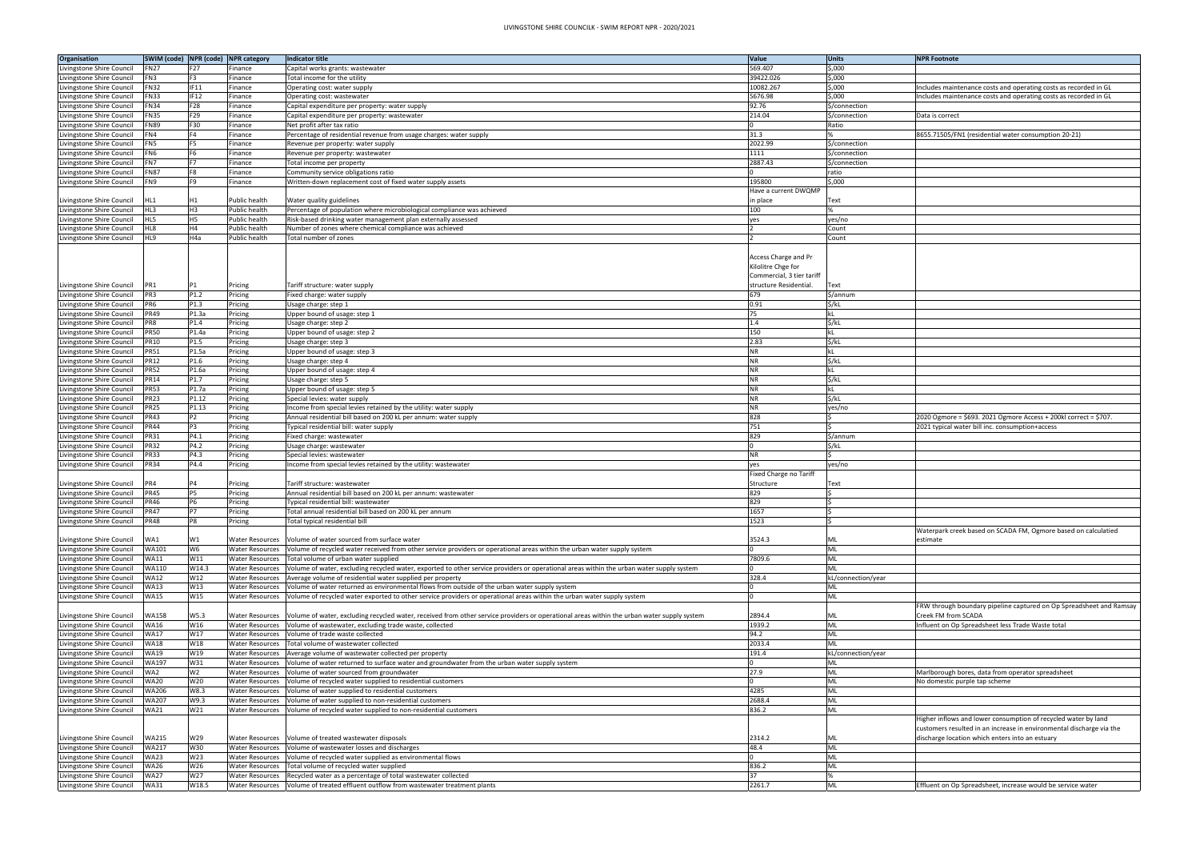| <b>NPR Footnote</b>                                                  |
|----------------------------------------------------------------------|
|                                                                      |
|                                                                      |
| Includes maintenance costs and operating costs as recorded in GL     |
| Includes maintenance costs and operating costs as recorded in GL     |
|                                                                      |
| Data is correct                                                      |
| 8655.71505/FN1 (residential water consumption 20-21)                 |
|                                                                      |
|                                                                      |
|                                                                      |
|                                                                      |
|                                                                      |
|                                                                      |
|                                                                      |
|                                                                      |
|                                                                      |
|                                                                      |
|                                                                      |
|                                                                      |
|                                                                      |
|                                                                      |
|                                                                      |
|                                                                      |
|                                                                      |
|                                                                      |
|                                                                      |
|                                                                      |
|                                                                      |
|                                                                      |
|                                                                      |
|                                                                      |
|                                                                      |
|                                                                      |
|                                                                      |
|                                                                      |
| 2020 Ogmore = \$693. 2021 Ogmore Access + 200kl correct = \$707.     |
| 2021 typical water bill inc. consumption+access                      |
|                                                                      |
|                                                                      |
|                                                                      |
|                                                                      |
|                                                                      |
|                                                                      |
|                                                                      |
|                                                                      |
|                                                                      |
| Waterpark creek based on SCADA FM, Ogmore based on calculatied       |
| estimate                                                             |
|                                                                      |
|                                                                      |
|                                                                      |
|                                                                      |
|                                                                      |
|                                                                      |
| FRW through boundary pipeline captured on Op Spreadsheet and Ramsay  |
| Creek FM from SCADA                                                  |
| Influent on Op Spreadsheet less Trade Waste total                    |
|                                                                      |
|                                                                      |
|                                                                      |
| Marlborough bores, data from operator spreadsheet                    |
| No domestic purple tap scheme                                        |
|                                                                      |
|                                                                      |
|                                                                      |
| Higher inflows and lower consumption of recycled water by land       |
| customers resulted in an increase in environmental discharge via the |
| discharge location which enters into an estuary                      |
|                                                                      |
|                                                                      |
|                                                                      |
|                                                                      |
| Effluent on Op Spreadsheet, increase would be service water          |

| Organisation              | SWIM (code) NPR (code) NPR category |             |                        | Indicator title                                                                                                                            | Value                     | <b>Units</b>       | <b>NPR Footnote</b>                                                |
|---------------------------|-------------------------------------|-------------|------------------------|--------------------------------------------------------------------------------------------------------------------------------------------|---------------------------|--------------------|--------------------------------------------------------------------|
| Livingstone Shire Council | <b>FN27</b>                         | F27         | Finance                | Capital works grants: wastewater                                                                                                           | 569.407                   | \$,000             |                                                                    |
| Livingstone Shire Council | FN3                                 | F3          | Finance                | Total income for the utility                                                                                                               | 39422.026                 | \$,000             |                                                                    |
| Livingstone Shire Council | <b>FN32</b>                         | IF11        | Finance                | Operating cost: water supply                                                                                                               | 10082.267                 | \$,000             | Includes maintenance costs and operating costs as recorded in GL   |
| Livingstone Shire Council | <b>FN33</b>                         | <b>IF12</b> | Finance                | Operating cost: wastewater                                                                                                                 | 5676.98                   | \$,000             | Includes maintenance costs and operating costs as recorded in GL   |
| ivingstone Shire Council  | <b>FN34</b>                         | F28         | Finance                | Capital expenditure per property: water supply                                                                                             | 92.76                     | \$/connection      |                                                                    |
| Livingstone Shire Council | <b>FN35</b>                         | F29         | Finance                | Capital expenditure per property: wastewater                                                                                               | 214.04                    | \$/connection      | Data is correct                                                    |
| ivingstone Shire Council  | FN89                                | F30         | Finance                | Net profit after tax ratio                                                                                                                 |                           | Ratio              |                                                                    |
| Livingstone Shire Council | FN4                                 | F4          | Finance                | Percentage of residential revenue from usage charges: water supply                                                                         | 31.3                      |                    | 8655.71505/FN1 (residential water consumption 20-21)               |
| Livingstone Shire Council | FN5                                 | F5.         | Finance                | Revenue per property: water supply                                                                                                         | 2022.99                   | \$/connection      |                                                                    |
| Livingstone Shire Council | FN <sub>6</sub>                     | F6          | Finance                | Revenue per property: wastewater                                                                                                           | 1111                      | \$/connection      |                                                                    |
| ivingstone Shire Council  | FN7                                 |             | Finance                | Total income per property                                                                                                                  | 2887.43                   | \$/connection      |                                                                    |
| Livingstone Shire Council | <b>FN87</b>                         | F8          | Finance                | Community service obligations ratio                                                                                                        |                           | ratio              |                                                                    |
| Livingstone Shire Council | FN9                                 | F9.         | Finance                | Written-down replacement cost of fixed water supply assets                                                                                 | 195800                    | \$,000             |                                                                    |
|                           |                                     |             |                        |                                                                                                                                            | Have a current DWQMP      |                    |                                                                    |
| Livingstone Shire Council | HL1                                 | Η1          | Public health          | Water quality guidelines                                                                                                                   | in place                  | Text               |                                                                    |
| Livingstone Shire Council | HL3                                 | H3          | Public health          | Percentage of population where microbiological compliance was achieved                                                                     | 100                       |                    |                                                                    |
| Livingstone Shire Council | HL5                                 | H5          | Public health          | Risk-based drinking water management plan externally assessed                                                                              |                           | yes/no             |                                                                    |
|                           | HL8                                 | H4          | Public health          |                                                                                                                                            | yes                       | Count              |                                                                    |
| Livingstone Shire Council |                                     | H4a         |                        | Number of zones where chemical compliance was achieved                                                                                     |                           |                    |                                                                    |
| Livingstone Shire Council | HL9                                 |             | Public health          | Total number of zones                                                                                                                      |                           | Count              |                                                                    |
|                           |                                     |             |                        |                                                                                                                                            |                           |                    |                                                                    |
|                           |                                     |             |                        |                                                                                                                                            | Access Charge and Pr      |                    |                                                                    |
|                           |                                     |             |                        |                                                                                                                                            | Kilolitre Chge for        |                    |                                                                    |
|                           |                                     |             |                        |                                                                                                                                            | Commercial, 3 tier tariff |                    |                                                                    |
| Livingstone Shire Council | PR <sub>1</sub>                     | P1          | Pricing                | Tariff structure: water supply                                                                                                             | structure Residential.    | Text               |                                                                    |
| Livingstone Shire Council | PR3                                 | P1.2        | Pricing                | Fixed charge: water supply                                                                                                                 | 679                       | \$/annum           |                                                                    |
| Livingstone Shire Council | PR <sub>6</sub>                     | P1.3        | Pricing                | Usage charge: step 1                                                                                                                       | 0.91                      | $$/k$ L            |                                                                    |
| Livingstone Shire Council | <b>PR49</b>                         | P1.3a       | Pricing                | Jpper bound of usage: step 1                                                                                                               | 75                        |                    |                                                                    |
| ivingstone Shire Council  | PR8                                 | P1.4        | Pricing                | Usage charge: step 2                                                                                                                       | 1.4                       | \$/kL              |                                                                    |
| Livingstone Shire Council | <b>PR50</b>                         | P1.4a       | Pricing                | Jpper bound of usage: step 2                                                                                                               | 150                       |                    |                                                                    |
| ivingstone Shire Council  | <b>PR10</b>                         | P1.5        | Pricing                | Usage charge: step 3                                                                                                                       | 2.83                      | \$/kL              |                                                                    |
| Livingstone Shire Council | <b>PR51</b>                         | P1.5a       | Pricing                | Jpper bound of usage: step 3                                                                                                               | <b>NR</b>                 |                    |                                                                    |
| Livingstone Shire Council | <b>PR12</b>                         | P1.6        | Pricing                | Jsage charge: step 4                                                                                                                       | NR                        | \$/kL              |                                                                    |
| Livingstone Shire Council | <b>PR52</b>                         | P1.6a       | Pricing                | Upper bound of usage: step 4                                                                                                               | <b>NR</b>                 |                    |                                                                    |
| Livingstone Shire Council | <b>PR14</b>                         | P1.7        | Pricing                | Jsage charge: step 5                                                                                                                       | <b>NR</b>                 | \$/kL              |                                                                    |
| Livingstone Shire Council | <b>PR53</b>                         | P1.7a       | Pricing                | Upper bound of usage: step 5                                                                                                               | <b>NR</b>                 |                    |                                                                    |
| ivingstone Shire Council  | <b>PR23</b>                         | P1.12       | Pricing                | Special levies: water supply                                                                                                               | ΝR                        | \$/kL              |                                                                    |
| ivingstone Shire Council  | <b>PR25</b>                         | P1.13       | Pricing                | Income from special levies retained by the utility: water supply                                                                           | <b>NR</b>                 | yes/no             |                                                                    |
| ivingstone Shire Council  | <b>PR43</b>                         | P2          | Pricing                | Annual residential bill based on 200 kL per annum: water supply                                                                            | 828                       |                    | 2020 Ogmore = \$693. 2021 Ogmore Access + 200kl correct = \$707.   |
| ivingstone Shire Council  | <b>PR44</b>                         | P3          | Pricing                | Typical residential bill: water supply                                                                                                     | 751                       |                    | 2021 typical water bill inc. consumption+access                    |
| Livingstone Shire Council | <b>PR31</b>                         | P4.1        | Pricing                | ixed charge: wastewater                                                                                                                    | 829                       | \$/annum           |                                                                    |
| Livingstone Shire Council | <b>PR32</b>                         | P4.2        | Pricing                | Usage charge: wastewater                                                                                                                   |                           | \$/kl              |                                                                    |
| Livingstone Shire Council | <b>PR33</b>                         | P4.3        | Pricing                | Special levies: wastewater                                                                                                                 | <b>NR</b>                 |                    |                                                                    |
| Livingstone Shire Council | <b>PR34</b>                         | P4.4        | Pricing                | ncome from special levies retained by the utility: wastewater                                                                              | yes                       | yes/no             |                                                                    |
|                           |                                     |             |                        |                                                                                                                                            | Fixed Charge no Tariff    |                    |                                                                    |
| Livingstone Shire Council | PR4                                 |             | Pricing                | Tariff structure: wastewater                                                                                                               | Structure                 | ext                |                                                                    |
| Livingstone Shire Council | <b>PR45</b>                         | P5          | Pricing                | Annual residential bill based on 200 kL per annum: wastewater                                                                              | 829                       |                    |                                                                    |
| Livingstone Shire Council | <b>PR46</b>                         | P6          | Pricing                | Typical residential bill: wastewater                                                                                                       | 829                       |                    |                                                                    |
|                           | <b>PR47</b>                         | P7          |                        |                                                                                                                                            |                           |                    |                                                                    |
| Livingstone Shire Council |                                     |             | Pricing                | Total annual residential bill based on 200 kL per annum                                                                                    | 1657<br>1523              |                    |                                                                    |
| Livingstone Shire Council | <b>PR48</b>                         | P8          | Pricing                | Total typical residential bill                                                                                                             |                           |                    |                                                                    |
|                           |                                     |             |                        |                                                                                                                                            |                           |                    | Waterpark creek based on SCADA FM, Ogmore based on calculation     |
| Livingstone Shire Council | WA1                                 | W1          | <b>Water Resources</b> | Volume of water sourced from surface water                                                                                                 | 3524.3                    | ML                 | estimate                                                           |
| Livingstone Shire Council | WA101                               | W6          | <b>Water Resources</b> | Volume of recycled water received from other service providers or operational areas within the urban water supply system                   |                           | ML                 |                                                                    |
| ivingstone Shire Council  | <b>WA11</b>                         | W11         | <b>Water Resources</b> | Total volume of urban water supplied                                                                                                       | 7809.6                    | ML                 |                                                                    |
| ivingstone Shire Council  | <b>WA110</b>                        | W14.3       | <b>Water Resources</b> | Volume of water, excluding recycled water, exported to other service providers or operational areas within the urban water supply system   |                           | ML                 |                                                                    |
| ivingstone Shire Council  | <b>WA12</b>                         | W12         | <b>Water Resources</b> | Average volume of residential water supplied per property                                                                                  | 328.4                     | kL/connection/year |                                                                    |
| Livingstone Shire Council | <b>WA13</b>                         | W13         | <b>Water Resources</b> | Volume of water returned as environmental flows from outside of the urban water supply system                                              |                           | ML                 |                                                                    |
| Livingstone Shire Council | <b>WA15</b>                         | W15         | <b>Water Resources</b> | Volume of recycled water exported to other service providers or operational areas within the urban water supply system                     |                           | ML                 |                                                                    |
|                           |                                     |             |                        |                                                                                                                                            |                           |                    | FRW through boundary pipeline captured on Op Spreadsheet and       |
| ivingstone Shire Council  | <b>WA158</b>                        | W5.3        | <b>Water Resources</b> | Volume of water, excluding recycled water, received from other service providers or operational areas within the urban water supply system | 2894.4                    | ML                 | Creek FM from SCADA                                                |
| Livingstone Shire Council | <b>WA16</b>                         | W16         | <b>Water Resources</b> | Volume of wastewater, excluding trade waste, collected                                                                                     | 1939.2                    | ML                 | Influent on Op Spreadsheet less Trade Waste total                  |
| ivingstone Shire Council  | <b>WA17</b>                         | W17         | <b>Water Resources</b> | Volume of trade waste collected                                                                                                            | 94.2                      | ML                 |                                                                    |
| ivingstone Shire Council  | <b>WA18</b>                         | W18         | <b>Water Resources</b> | Total volume of wastewater collected                                                                                                       | 2033.4                    | <b>ML</b>          |                                                                    |
| Livingstone Shire Council | <b>WA19</b>                         | W19         | <b>Water Resources</b> | Average volume of wastewater collected per property                                                                                        | 191.4                     | kL/connection/year |                                                                    |
| ivingstone Shire Council  | <b>WA197</b>                        | W31         | <b>Water Resources</b> | Volume of water returned to surface water and groundwater from the urban water supply system                                               |                           | ML                 |                                                                    |
| Livingstone Shire Council | WA2                                 | W2          | <b>Water Resources</b> | Volume of water sourced from groundwater                                                                                                   | 27.9                      | ML                 | Marlborough bores, data from operator spreadsheet                  |
| ivingstone Shire Council  | <b>WA20</b>                         | W20         | <b>Water Resources</b> | Volume of recycled water supplied to residential customers                                                                                 |                           | ML                 | No domestic purple tap scheme                                      |
| Livingstone Shire Council | <b>WA206</b>                        | W8.3        | <b>Water Resources</b> | Volume of water supplied to residential customers                                                                                          | 4285                      | ML                 |                                                                    |
| Livingstone Shire Council | <b>WA207</b>                        | W9.3        | Water Resources        | Volume of water supplied to non-residential customers                                                                                      | 2688.4                    | ML                 |                                                                    |
| Livingstone Shire Council | <b>WA21</b>                         | W21         | Water Resources        | Volume of recycled water supplied to non-residential customers                                                                             | 836.2                     | ML                 |                                                                    |
|                           |                                     |             |                        |                                                                                                                                            |                           |                    | Higher inflows and lower consumption of recycled water by land     |
|                           |                                     |             |                        |                                                                                                                                            |                           |                    | customers resulted in an increase in environmental discharge via i |
| Livingstone Shire Council | <b>WA215</b>                        | W29         |                        | Water Resources   Volume of treated wastewater disposals                                                                                   | 2314.2                    | ML                 | discharge location which enters into an estuary                    |
| Livingstone Shire Council | <b>WA217</b>                        | W30         | <b>Water Resources</b> | Volume of wastewater losses and discharges                                                                                                 | 48.4                      | ML                 |                                                                    |
| Livingstone Shire Council | <b>WA23</b>                         | W23         | <b>Water Resources</b> | Volume of recycled water supplied as environmental flows                                                                                   |                           | ML                 |                                                                    |
| Livingstone Shire Council | <b>WA26</b>                         | W26         | <b>Water Resources</b> | Total volume of recycled water supplied                                                                                                    | 836.2                     | ML                 |                                                                    |
|                           | <b>WA27</b>                         | W27         |                        |                                                                                                                                            | 37                        |                    |                                                                    |
| Livingstone Shire Council |                                     |             | <b>Water Resources</b> | Recycled water as a percentage of total wastewater collected                                                                               |                           |                    |                                                                    |
| Livingstone Shire Council | <b>WA31</b>                         | W18.5       | <b>Water Resources</b> | Volume of treated effluent outflow from wastewater treatment plants                                                                        | 2261.7                    | ML                 | Effluent on Op Spreadsheet, increase would be service water        |